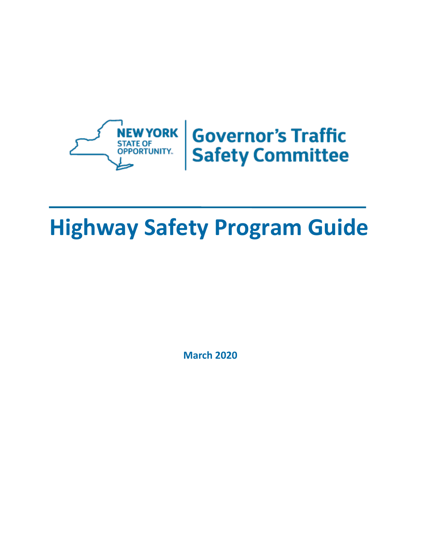

**NEW YORK GOVERNOT'S Traffic Safety Committee** 

# **Highway Safety Program Guide**

**March 2020**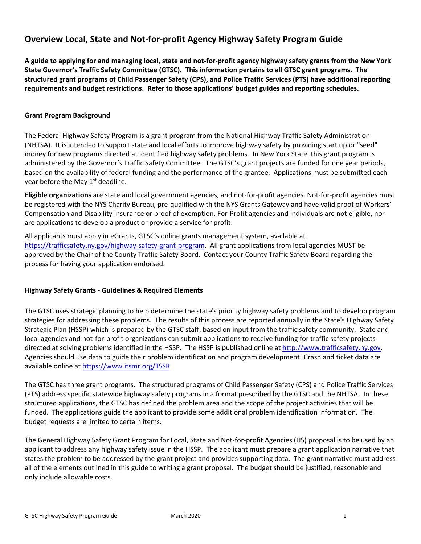## **Overview Local, State and Not-for-profit Agency Highway Safety Program Guide**

**A guide to applying for and managing local, state and not-for-profit agency highway safety grants from the New York State Governor's Traffic Safety Committee (GTSC). This information pertains to all GTSC grant programs. The structured grant programs of Child Passenger Safety (CPS), and Police Traffic Services (PTS) have additional reporting requirements and budget restrictions. Refer to those applications' budget guides and reporting schedules.**

#### **Grant Program Background**

The Federal Highway Safety Program is a grant program from the National Highway Traffic Safety Administration (NHTSA). It is intended to support state and local efforts to improve highway safety by providing start up or "seed" money for new programs directed at identified highway safety problems. In New York State, this grant program is administered by the Governor's Traffic Safety Committee. The GTSC's grant projects are funded for one year periods, based on the availability of federal funding and the performance of the grantee. Applications must be submitted each year before the May  $1<sup>st</sup>$  deadline.

**Eligible organizations** are state and local government agencies, and not-for-profit agencies. Not-for-profit agencies must be registered with the NYS Charity Bureau, pre-qualified with the NYS Grants Gateway and have valid proof of Workers' Compensation and Disability Insurance or proof of exemption. For-Profit agencies and individuals are not eligible, nor are applications to develop a product or provide a service for profit.

All applicants must apply in eGrants, GTSC's online grants management system, available at [https://trafficsafety.ny.gov/highway-safety-grant-program.](https://trafficsafety.ny.gov/highway-safety-grant-program) All grant applications from local agencies MUST be approved by the Chair of the County Traffic Safety Board. Contact your County Traffic Safety Board regarding the process for having your application endorsed.

#### **Highway Safety Grants - Guidelines & Required Elements**

The GTSC uses strategic planning to help determine the state's priority highway safety problems and to develop program strategies for addressing these problems. The results of this process are reported annually in the State's Highway Safety Strategic Plan (HSSP) which is prepared by the GTSC staff, based on input from the traffic safety community. State and local agencies and not-for-profit organizations can submit applications to receive funding for traffic safety projects directed at solving problems identified in the HSSP. The HSSP is published online at [http://www.trafficsafety.ny.gov.](http://www.safeny.ny.gov/) Agencies should use data to guide their problem identification and program development. Crash and ticket data are available online at [https://www.itsmr.org/TSSR.](https://www.itsmr.org/TSSR)

The GTSC has three grant programs. The structured programs of Child Passenger Safety (CPS) and Police Traffic Services (PTS) address specific statewide highway safety programs in a format prescribed by the GTSC and the NHTSA. In these structured applications, the GTSC has defined the problem area and the scope of the project activities that will be funded. The applications guide the applicant to provide some additional problem identification information. The budget requests are limited to certain items.

The General Highway Safety Grant Program for Local, State and Not-for-profit Agencies (HS) proposal is to be used by an applicant to address any highway safety issue in the HSSP. The applicant must prepare a grant application narrative that states the problem to be addressed by the grant project and provides supporting data. The grant narrative must address all of the elements outlined in this guide to writing a grant proposal. The budget should be justified, reasonable and only include allowable costs.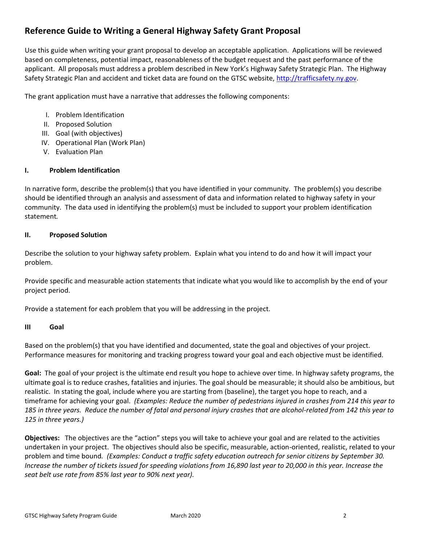## **Reference Guide to Writing a General Highway Safety Grant Proposal**

Use this guide when writing your grant proposal to develop an acceptable application. Applications will be reviewed based on completeness, potential impact, reasonableness of the budget request and the past performance of the applicant. All proposals must address a problem described in New York's Highway Safety Strategic Plan. The Highway Safety Strategic Plan and accident and ticket data are found on the GTSC website, [http://trafficsafety.ny.gov.](http://safeny.ny.gov/)

The grant application must have a narrative that addresses the following components:

- I. Problem Identification
- II. Proposed Solution
- III. Goal (with objectives)
- IV. Operational Plan (Work Plan)
- V. Evaluation Plan

#### **I. Problem Identification**

In narrative form, describe the problem(s) that you have identified in your community. The problem(s) you describe should be identified through an analysis and assessment of data and information related to highway safety in your community. The data used in identifying the problem(s) must be included to support your problem identification statement*.* 

#### **II. Proposed Solution**

Describe the solution to your highway safety problem. Explain what you intend to do and how it will impact your problem.

Provide specific and measurable action statements that indicate what you would like to accomplish by the end of your project period.

Provide a statement for each problem that you will be addressing in the project.

#### **III Goal**

Based on the problem(s) that you have identified and documented, state the goal and objectives of your project. Performance measures for monitoring and tracking progress toward your goal and each objective must be identified.

**Goal:** The goal of your project is the ultimate end result you hope to achieve over time. In highway safety programs, the ultimate goal is to reduce crashes, fatalities and injuries. The goal should be measurable; it should also be ambitious, but realistic. In stating the goal, include where you are starting from (baseline), the target you hope to reach, and a timeframe for achieving your goal. *(Examples: Reduce the number of pedestrians injured in crashes from 214 this year to 185 in three years. Reduce the number of fatal and personal injury crashes that are alcohol-related from 142 this year to 125 in three years.)*

**Objectives:** The objectives are the "action" steps you will take to achieve your goal and are related to the activities undertaken in your project. The objectives should also be specific, measurable, action-oriented, realistic, related to your problem and time bound*. (Examples: Conduct a traffic safety education outreach for senior citizens by September 30. Increase the number of tickets issued for speeding violations from 16,890 last year to 20,000 in this year. Increase the seat belt use rate from 85% last year to 90% next year).*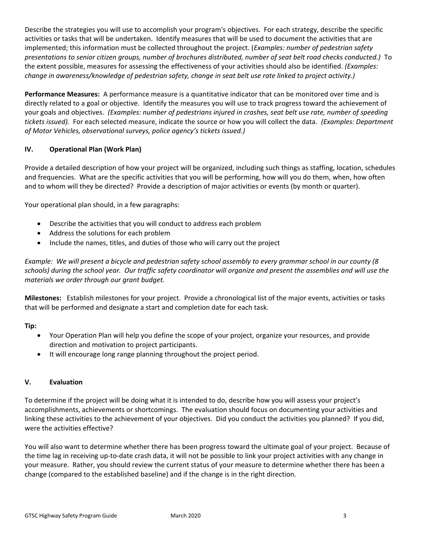Describe the strategies you will use to accomplish your program's objectives. For each strategy, describe the specific activities or tasks that will be undertaken. Identify measures that will be used to document the activities that are implemented; this information must be collected throughout the project. (*Examples: number of pedestrian safety presentations to senior citizen groups, number of brochures distributed, number of seat belt road checks conducted.)* To the extent possible, measures for assessing the effectiveness of your activities should also be identified. *(Examples: change in awareness/knowledge of pedestrian safety, change in seat belt use rate linked to project activity.)*

**Performance Measures:** A performance measure is a quantitative indicator that can be monitored over time and is directly related to a goal or objective. Identify the measures you will use to track progress toward the achievement of your goals and objectives. *(Examples: number of pedestrians injured in crashes, seat belt use rate, number of speeding tickets issued).* For each selected measure, indicate the source or how you will collect the data. *(Examples: Department of Motor Vehicles, observational surveys, police agency's tickets issued.)*

#### **IV. Operational Plan (Work Plan)**

Provide a detailed description of how your project will be organized, including such things as staffing, location, schedules and frequencies. What are the specific activities that you will be performing, how will you do them, when, how often and to whom will they be directed? Provide a description of major activities or events (by month or quarter).

Your operational plan should, in a few paragraphs:

- Describe the activities that you will conduct to address each problem
- Address the solutions for each problem
- Include the names, titles, and duties of those who will carry out the project

*Example: We will present a bicycle and pedestrian safety school assembly to every grammar school in our county (8 schools) during the school year. Our traffic safety coordinator will organize and present the assemblies and will use the materials we order through our grant budget.*

**Milestones:** Establish milestones for your project. Provide a chronological list of the major events, activities or tasks that will be performed and designate a start and completion date for each task.

#### **Tip:**

- Your Operation Plan will help you define the scope of your project, organize your resources, and provide direction and motivation to project participants.
- It will encourage long range planning throughout the project period.

#### **V. Evaluation**

To determine if the project will be doing what it is intended to do, describe how you will assess your project's accomplishments, achievements or shortcomings. The evaluation should focus on documenting your activities and linking these activities to the achievement of your objectives. Did you conduct the activities you planned? If you did, were the activities effective?

You will also want to determine whether there has been progress toward the ultimate goal of your project. Because of the time lag in receiving up-to-date crash data, it will not be possible to link your project activities with any change in your measure. Rather, you should review the current status of your measure to determine whether there has been a change (compared to the established baseline) and if the change is in the right direction.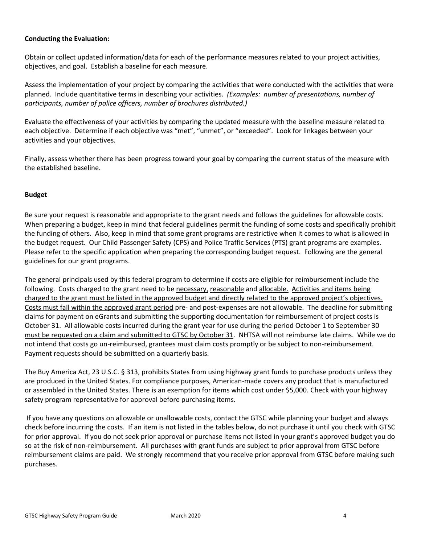#### **Conducting the Evaluation:**

Obtain or collect updated information/data for each of the performance measures related to your project activities, objectives, and goal. Establish a baseline for each measure.

Assess the implementation of your project by comparing the activities that were conducted with the activities that were planned. Include quantitative terms in describing your activities. *(Examples: number of presentations, number of participants, number of police officers, number of brochures distributed.)*

Evaluate the effectiveness of your activities by comparing the updated measure with the baseline measure related to each objective. Determine if each objective was "met", "unmet", or "exceeded". Look for linkages between your activities and your objectives.

Finally, assess whether there has been progress toward your goal by comparing the current status of the measure with the established baseline.

#### **Budget**

Be sure your request is reasonable and appropriate to the grant needs and follows the guidelines for allowable costs. When preparing a budget, keep in mind that federal guidelines permit the funding of some costs and specifically prohibit the funding of others. Also, keep in mind that some grant programs are restrictive when it comes to what is allowed in the budget request. Our Child Passenger Safety (CPS) and Police Traffic Services (PTS) grant programs are examples. Please refer to the specific application when preparing the corresponding budget request. Following are the general guidelines for our grant programs.

The general principals used by this federal program to determine if costs are eligible for reimbursement include the following. Costs charged to the grant need to be necessary, reasonable and allocable. Activities and items being charged to the grant must be listed in the approved budget and directly related to the approved project's objectives. Costs must fall within the approved grant period pre- and post-expenses are not allowable. The deadline for submitting claims for payment on eGrants and submitting the supporting documentation for reimbursement of project costs is October 31. All allowable costs incurred during the grant year for use during the period October 1 to September 30 must be requested on a claim and submitted to GTSC by October 31. NHTSA will not reimburse late claims. While we do not intend that costs go un-reimbursed, grantees must claim costs promptly or be subject to non-reimbursement. Payment requests should be submitted on a quarterly basis.

The Buy America Act, 23 U.S.C. § 313, prohibits States from using highway grant funds to purchase products unless they are produced in the United States. For compliance purposes, American-made covers any product that is manufactured or assembled in the United States. There is an exemption for items which cost under \$5,000. Check with your highway safety program representative for approval before purchasing items.

If you have any questions on allowable or unallowable costs, contact the GTSC while planning your budget and always check before incurring the costs. If an item is not listed in the tables below, do not purchase it until you check with GTSC for prior approval. If you do not seek prior approval or purchase items not listed in your grant's approved budget you do so at the risk of non-reimbursement. All purchases with grant funds are subject to prior approval from GTSC before reimbursement claims are paid. We strongly recommend that you receive prior approval from GTSC before making such purchases.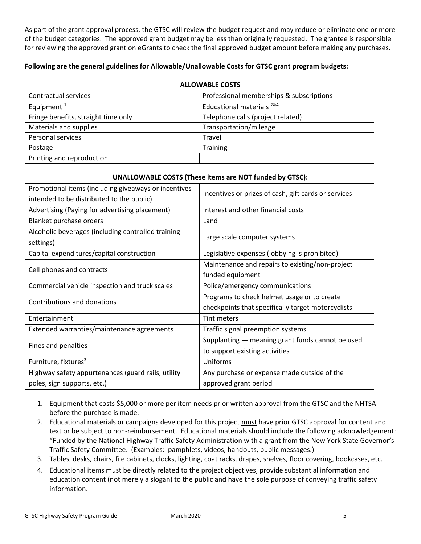As part of the grant approval process, the GTSC will review the budget request and may reduce or eliminate one or more of the budget categories. The approved grant budget may be less than originally requested. The grantee is responsible for reviewing the approved grant on eGrants to check the final approved budget amount before making any purchases.

#### **Following are the general guidelines for Allowable/Unallowable Costs for GTSC grant program budgets:**

#### **ALLOWABLE COSTS**

| Contractual services                | Professional memberships & subscriptions |
|-------------------------------------|------------------------------------------|
| Equipment $1$                       | Educational materials <sup>2&amp;4</sup> |
| Fringe benefits, straight time only | Telephone calls (project related)        |
| Materials and supplies              | Transportation/mileage                   |
| Personal services                   | Travel                                   |
| Postage                             | <b>Training</b>                          |
| Printing and reproduction           |                                          |

#### **UNALLOWABLE COSTS (These items are NOT funded by GTSC):**

| Promotional items (including giveaways or incentives<br>intended to be distributed to the public) | Incentives or prizes of cash, gift cards or services |
|---------------------------------------------------------------------------------------------------|------------------------------------------------------|
| Advertising (Paying for advertising placement)                                                    | Interest and other financial costs                   |
| Blanket purchase orders                                                                           | Land                                                 |
| Alcoholic beverages (including controlled training<br>settings)                                   | Large scale computer systems                         |
| Capital expenditures/capital construction                                                         | Legislative expenses (lobbying is prohibited)        |
| Cell phones and contracts                                                                         | Maintenance and repairs to existing/non-project      |
|                                                                                                   | funded equipment                                     |
| Commercial vehicle inspection and truck scales                                                    | Police/emergency communications                      |
| Contributions and donations                                                                       | Programs to check helmet usage or to create          |
|                                                                                                   | checkpoints that specifically target motorcyclists   |
| Entertainment                                                                                     | <b>Tint meters</b>                                   |
| Extended warranties/maintenance agreements                                                        | Traffic signal preemption systems                    |
| Fines and penalties                                                                               | Supplanting - meaning grant funds cannot be used     |
|                                                                                                   | to support existing activities                       |
| Furniture, fixtures <sup>3</sup>                                                                  | Uniforms                                             |
| Highway safety appurtenances (guard rails, utility                                                | Any purchase or expense made outside of the          |
| poles, sign supports, etc.)                                                                       | approved grant period                                |

- 1. Equipment that costs \$5,000 or more per item needs prior written approval from the GTSC and the NHTSA before the purchase is made.
- 2. Educational materials or campaigns developed for this project must have prior GTSC approval for content and text or be subject to non-reimbursement. Educational materials should include the following acknowledgement: "Funded by the National Highway Traffic Safety Administration with a grant from the New York State Governor's Traffic Safety Committee. (Examples: pamphlets, videos, handouts, public messages.)
- 3. Tables, desks, chairs, file cabinets, clocks, lighting, coat racks, drapes, shelves, floor covering, bookcases, etc.
- 4. Educational items must be directly related to the project objectives, provide substantial information and education content (not merely a slogan) to the public and have the sole purpose of conveying traffic safety information.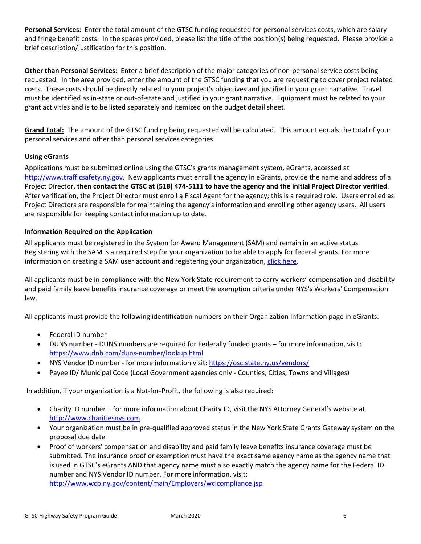**Personal Services:** Enter the total amount of the GTSC funding requested for personal services costs, which are salary and fringe benefit costs. In the spaces provided, please list the title of the position(s) being requested. Please provide a brief description/justification for this position.

**Other than Personal Services:** Enter a brief description of the major categories of non-personal service costs being requested. In the area provided, enter the amount of the GTSC funding that you are requesting to cover project related costs. These costs should be directly related to your project's objectives and justified in your grant narrative. Travel must be identified as in-state or out-of-state and justified in your grant narrative. Equipment must be related to your grant activities and is to be listed separately and itemized on the budget detail sheet.

**Grand Total:** The amount of the GTSC funding being requested will be calculated. This amount equals the total of your personal services and other than personal services categories.

#### **Using eGrants**

Applications must be submitted online using the GTSC's grants management system, eGrants, accessed at [http://www.trafficsafety.ny.gov.](http://www.safeny.ny.gov/) New applicants must enroll the agency in eGrants, provide the name and address of a Project Director, **then contact the GTSC at (518) 474-5111 to have the agency and the initial Project Director verified**. After verification, the Project Director must enroll a Fiscal Agent for the agency; this is a required role. Users enrolled as Project Directors are responsible for maintaining the agency's information and enrolling other agency users. All users are responsible for keeping contact information up to date.

#### **Information Required on the Application**

All applicants must be registered in the System for Award Management (SAM) and remain in an active status. Registering with the SAM is a required step for your organization to be able to apply for federal grants. For more information on creating a SAM user account and registering your organization, [click here.](https://www.sam.gov/SAM/pages/public/loginFAQ.jsf)

All applicants must be in compliance with the New York State requirement to carry workers' compensation and disability and paid family leave benefits insurance coverage or meet the exemption criteria under NYS's Workers' Compensation law.

All applicants must provide the following identification numbers on their Organization Information page in eGrants:

- Federal ID number
- DUNS number DUNS numbers are required for Federally funded grants for more information, visit: <https://www.dnb.com/duns-number/lookup.html>
- NYS Vendor ID number for more information visit:<https://osc.state.ny.us/vendors/>
- Payee ID/ Municipal Code (Local Government agencies only Counties, Cities, Towns and Villages)

In addition, if your organization is a Not-for-Profit, the following is also required:

- Charity ID number for more information about Charity ID, visit the NYS Attorney General's website at [http://www.charitiesnys.com](http://www.charitiesnys.com/)
- Your organization must be in pre-qualified approved status in the New York State Grants Gateway system on the proposal due date
- Proof of workers' compensation and disability and paid family leave benefits insurance coverage must be submitted. The insurance proof or exemption must have the exact same agency name as the agency name that is used in GTSC's eGrants AND that agency name must also exactly match the agency name for the Federal ID number and NYS Vendor ID number. For more information, visit:

<http://www.wcb.ny.gov/content/main/Employers/wclcompliance.jsp>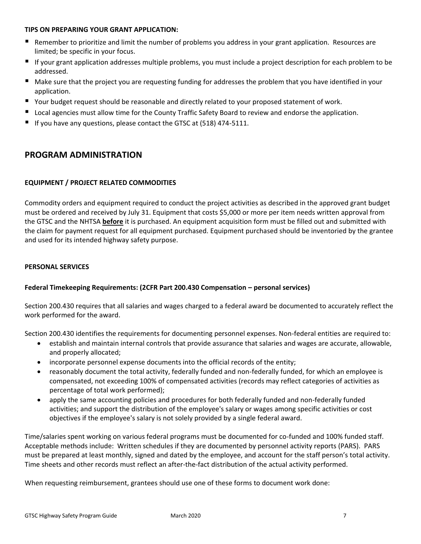#### **TIPS ON PREPARING YOUR GRANT APPLICATION:**

- Remember to prioritize and limit the number of problems you address in your grant application. Resources are limited; be specific in your focus.
- If your grant application addresses multiple problems, you must include a project description for each problem to be addressed.
- Make sure that the project you are requesting funding for addresses the problem that you have identified in your application.
- Your budget request should be reasonable and directly related to your proposed statement of work.
- Local agencies must allow time for the County Traffic Safety Board to review and endorse the application.
- If you have any questions, please contact the GTSC at (518) 474-5111.

### **PROGRAM ADMINISTRATION**

#### **EQUIPMENT / PROJECT RELATED COMMODITIES**

Commodity orders and equipment required to conduct the project activities as described in the approved grant budget must be ordered and received by July 31. Equipment that costs \$5,000 or more per item needs written approval from the GTSC and the NHTSA **before** it is purchased. An equipment acquisition form must be filled out and submitted with the claim for payment request for all equipment purchased. Equipment purchased should be inventoried by the grantee and used for its intended highway safety purpose.

#### **PERSONAL SERVICES**

#### **Federal Timekeeping Requirements: (2CFR Part 200.430 Compensation – personal services)**

Section 200.430 requires that all salaries and wages charged to a federal award be documented to accurately reflect the work performed for the award.

Section 200.430 identifies the requirements for documenting personnel expenses. Non-federal entities are required to:

- establish and maintain internal controls that provide assurance that salaries and wages are accurate, allowable, and properly allocated;
- incorporate personnel expense documents into the official records of the entity;
- reasonably document the total activity, federally funded and non-federally funded, for which an employee is compensated, not exceeding 100% of compensated activities (records may reflect categories of activities as percentage of total work performed);
- apply the same accounting policies and procedures for both federally funded and non-federally funded activities; and support the distribution of the employee's salary or wages among specific activities or cost objectives if the employee's salary is not solely provided by a single federal award.

Time/salaries spent working on various federal programs must be documented for co-funded and 100% funded staff. Acceptable methods include: Written schedules if they are documented by personnel activity reports (PARS). PARS must be prepared at least monthly, signed and dated by the employee, and account for the staff person's total activity. Time sheets and other records must reflect an after-the-fact distribution of the actual activity performed.

When requesting reimbursement, grantees should use one of these forms to document work done: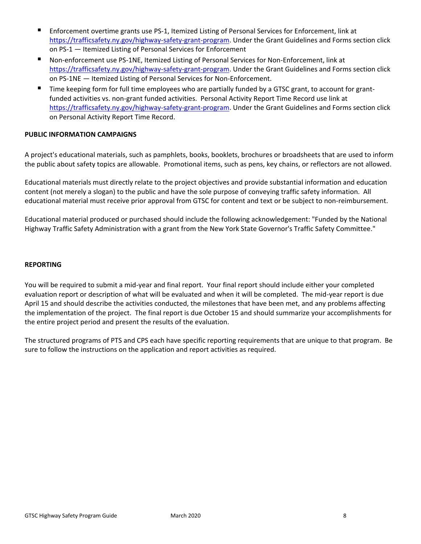- Enforcement overtime grants use PS-1, Itemized Listing of Personal Services for Enforcement, link at [https://trafficsafety.ny.gov/highway-safety-grant-program.](https://trafficsafety.ny.gov/highway-safety-grant-program) Under the Grant Guidelines and Forms section click on PS-1 — Itemized Listing of Personal Services for Enforcement
- Non-enforcement use PS-1NE, Itemized Listing of Personal Services for Non-Enforcement, link at [https://trafficsafety.ny.gov/highway-safety-grant-program.](https://trafficsafety.ny.gov/highway-safety-grant-program) Under the Grant Guidelines and Forms section click on PS-1NE — Itemized Listing of Personal Services for Non-Enforcement.
- Time keeping form for full time employees who are partially funded by a GTSC grant, to account for grantfunded activities vs. non-grant funded activities. Personal Activity Report Time Record use link at [https://trafficsafety.ny.gov/highway-safety-grant-program.](https://trafficsafety.ny.gov/highway-safety-grant-program) Under the Grant Guidelines and Forms section click on Personal Activity Report Time Record.

#### **PUBLIC INFORMATION CAMPAIGNS**

A project's educational materials, such as pamphlets, books, booklets, brochures or broadsheets that are used to inform the public about safety topics are allowable. Promotional items, such as pens, key chains, or reflectors are not allowed.

Educational materials must directly relate to the project objectives and provide substantial information and education content (not merely a slogan) to the public and have the sole purpose of conveying traffic safety information. All educational material must receive prior approval from GTSC for content and text or be subject to non-reimbursement.

Educational material produced or purchased should include the following acknowledgement: "Funded by the National Highway Traffic Safety Administration with a grant from the New York State Governor's Traffic Safety Committee."

#### **REPORTING**

You will be required to submit a mid-year and final report. Your final report should include either your completed evaluation report or description of what will be evaluated and when it will be completed. The mid-year report is due April 15 and should describe the activities conducted, the milestones that have been met, and any problems affecting the implementation of the project. The final report is due October 15 and should summarize your accomplishments for the entire project period and present the results of the evaluation.

The structured programs of PTS and CPS each have specific reporting requirements that are unique to that program. Be sure to follow the instructions on the application and report activities as required.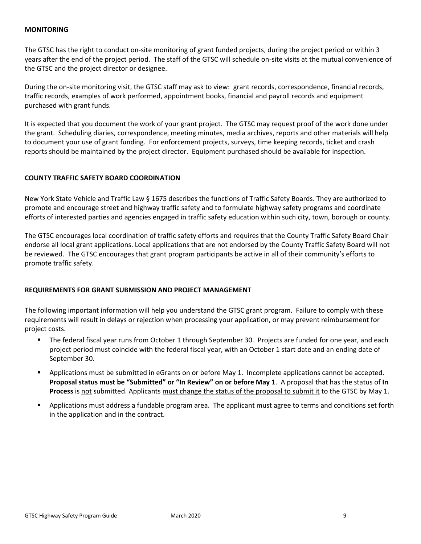#### **MONITORING**

The GTSC has the right to conduct on-site monitoring of grant funded projects, during the project period or within 3 years after the end of the project period. The staff of the GTSC will schedule on-site visits at the mutual convenience of the GTSC and the project director or designee.

During the on-site monitoring visit, the GTSC staff may ask to view: grant records, correspondence, financial records, traffic records, examples of work performed, appointment books, financial and payroll records and equipment purchased with grant funds.

It is expected that you document the work of your grant project. The GTSC may request proof of the work done under the grant. Scheduling diaries, correspondence, meeting minutes, media archives, reports and other materials will help to document your use of grant funding. For enforcement projects, surveys, time keeping records, ticket and crash reports should be maintained by the project director. Equipment purchased should be available for inspection.

#### **COUNTY TRAFFIC SAFETY BOARD COORDINATION**

New York State Vehicle and Traffic Law § 1675 describes the functions of Traffic Safety Boards. They are authorized to promote and encourage street and highway traffic safety and to formulate highway safety programs and coordinate efforts of interested parties and agencies engaged in traffic safety education within such city, town, borough or county.

The GTSC encourages local coordination of traffic safety efforts and requires that the County Traffic Safety Board Chair endorse all local grant applications. Local applications that are not endorsed by the County Traffic Safety Board will not be reviewed. The GTSC encourages that grant program participants be active in all of their community's efforts to promote traffic safety.

#### **REQUIREMENTS FOR GRANT SUBMISSION AND PROJECT MANAGEMENT**

The following important information will help you understand the GTSC grant program. Failure to comply with these requirements will result in delays or rejection when processing your application, or may prevent reimbursement for project costs.

- The federal fiscal year runs from October 1 through September 30. Projects are funded for one year, and each project period must coincide with the federal fiscal year, with an October 1 start date and an ending date of September 30.
- Applications must be submitted in eGrants on or before May 1. Incomplete applications cannot be accepted. **Proposal status must be "Submitted" or "In Review" on or before May 1**. A proposal that has the status of **In Process** is not submitted. Applicants must change the status of the proposal to submit it to the GTSC by May 1.
- Applications must address a fundable program area. The applicant must agree to terms and conditions set forth in the application and in the contract.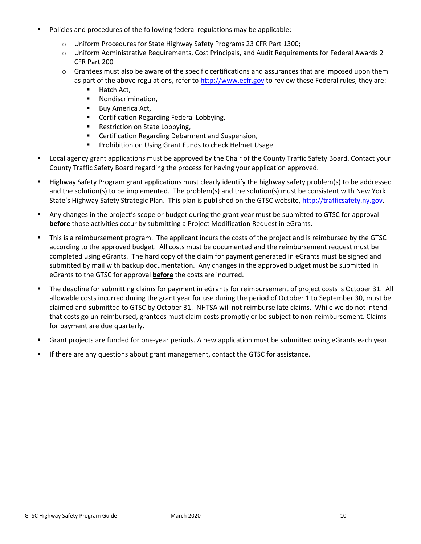- Policies and procedures of the following federal regulations may be applicable:
	- o Uniform Procedures for State Highway Safety Programs 23 CFR Part 1300;
	- o Uniform Administrative Requirements, Cost Principals, and Audit Requirements for Federal Awards 2 CFR Part 200
	- $\circ$  Grantees must also be aware of the specific certifications and assurances that are imposed upon them as part of the above regulations, refer to [http://www.ecfr.gov](http://www.ecfr.gov/) to review these Federal rules, they are:
		- Hatch Act,
		- Nondiscrimination,
		- Buy America Act,
		- Certification Regarding Federal Lobbying,
		- Restriction on State Lobbying,
		- Certification Regarding Debarment and Suspension,
		- Prohibition on Using Grant Funds to check Helmet Usage.
- Local agency grant applications must be approved by the Chair of the County Traffic Safety Board. Contact your County Traffic Safety Board regarding the process for having your application approved.
- Highway Safety Program grant applications must clearly identify the highway safety problem(s) to be addressed and the solution(s) to be implemented. The problem(s) and the solution(s) must be consistent with New York State's Highway Safety Strategic Plan. This plan is published on the GTSC website, [http://trafficsafety.ny.gov.](http://safeny.ny.gov/)
- Any changes in the project's scope or budget during the grant year must be submitted to GTSC for approval **before** those activities occur by submitting a Project Modification Request in eGrants.
- This is a reimbursement program. The applicant incurs the costs of the project and is reimbursed by the GTSC according to the approved budget. All costs must be documented and the reimbursement request must be completed using eGrants. The hard copy of the claim for payment generated in eGrants must be signed and submitted by mail with backup documentation. Any changes in the approved budget must be submitted in eGrants to the GTSC for approval **before** the costs are incurred.
- The deadline for submitting claims for payment in eGrants for reimbursement of project costs is October 31. All allowable costs incurred during the grant year for use during the period of October 1 to September 30, must be claimed and submitted to GTSC by October 31. NHTSA will not reimburse late claims. While we do not intend that costs go un-reimbursed, grantees must claim costs promptly or be subject to non-reimbursement. Claims for payment are due quarterly.
- Grant projects are funded for one-year periods. A new application must be submitted using eGrants each year.
- If there are any questions about grant management, contact the GTSC for assistance.